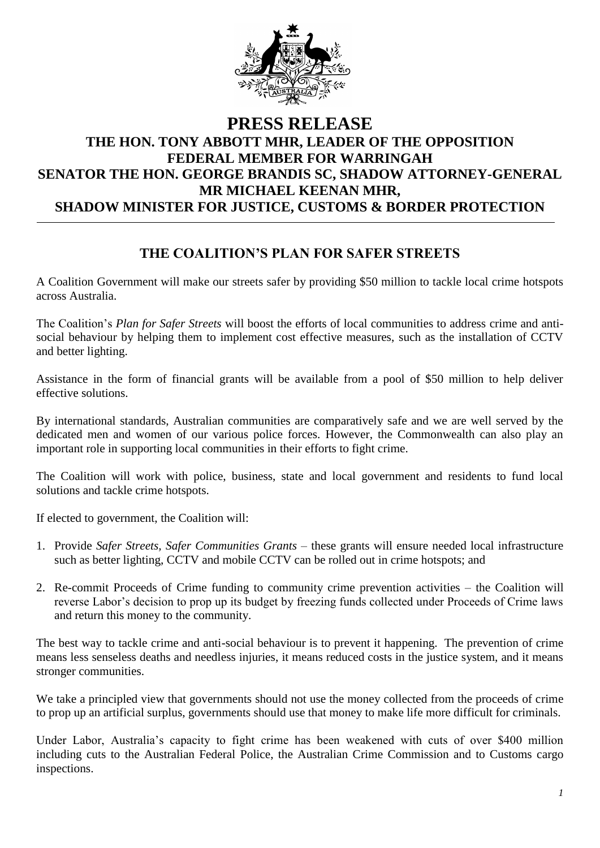

## **PRESS RELEASE THE HON. TONY ABBOTT MHR, LEADER OF THE OPPOSITION FEDERAL MEMBER FOR WARRINGAH SENATOR THE HON. GEORGE BRANDIS SC, SHADOW ATTORNEY-GENERAL MR MICHAEL KEENAN MHR, SHADOW MINISTER FOR JUSTICE, CUSTOMS & BORDER PROTECTION**

## **THE COALITION'S PLAN FOR SAFER STREETS**

A Coalition Government will make our streets safer by providing \$50 million to tackle local crime hotspots across Australia.

The Coalition's *Plan for Safer Streets* will boost the efforts of local communities to address crime and antisocial behaviour by helping them to implement cost effective measures, such as the installation of CCTV and better lighting.

Assistance in the form of financial grants will be available from a pool of \$50 million to help deliver effective solutions.

By international standards, Australian communities are comparatively safe and we are well served by the dedicated men and women of our various police forces. However, the Commonwealth can also play an important role in supporting local communities in their efforts to fight crime.

The Coalition will work with police, business, state and local government and residents to fund local solutions and tackle crime hotspots.

If elected to government, the Coalition will:

- 1. Provide *Safer Streets, Safer Communities Grants* these grants will ensure needed local infrastructure such as better lighting, CCTV and mobile CCTV can be rolled out in crime hotspots; and
- 2. Re-commit Proceeds of Crime funding to community crime prevention activities the Coalition will reverse Labor's decision to prop up its budget by freezing funds collected under Proceeds of Crime laws and return this money to the community.

The best way to tackle crime and anti-social behaviour is to prevent it happening. The prevention of crime means less senseless deaths and needless injuries, it means reduced costs in the justice system, and it means stronger communities.

We take a principled view that governments should not use the money collected from the proceeds of crime to prop up an artificial surplus, governments should use that money to make life more difficult for criminals.

Under Labor, Australia's capacity to fight crime has been weakened with cuts of over \$400 million including cuts to the Australian Federal Police, the Australian Crime Commission and to Customs cargo inspections.